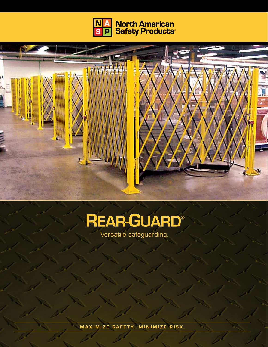



# **REAR-GUARD®**

Versatile safeguarding.

MAXIMIZE SAFETY. MINIMIZE RISK.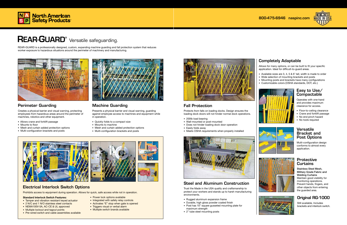REAR-GUARD is a professionally designed, custom, expanding machine guarding and fall protection system that reduces worker exposure to hazardous situations around the perimeter of machinery and manufacturing.



## Completely Adaptable

Allows for many options, or can be built to fit your specific application. Ideal for difficult-to-guard areas.

- Available sizes are 3, 4, 5 & 6' tall, width is made to order
- Wide selection of mounting brackets and posts
- Mounting posts and brackets have many configurations
- Customizable colors (OSHA standards, DOT, etc.)



## Fall Protection

Protects from falls on loading docks. Design ensures the loading dock doors will not hinder normal dock operations.

- 200lb load bearing
- Wall-mounted or post-mounted
- Does not hinder loading dock door operation
- Easily folds away
- Meets OSHA requirements when properly installed



Stainless Steel Mesh, Military Grade Fabric and Welding Curtains Maintain good visibility for monitoring operations. Prevent hands, fingers, and other objects from entering the guarded area.

#### Versatile Bracket and Post Options

Multi-configuration design conforms to almost every application.

#### **Protective Curtains**



**MADE IN USA** 

Operates with one-hand and provides maximum clearance for access.

- Floor-to-ceiling clearance
- Crane and forklift passage
- No end pinch hazard
- No tools required



#### **Standard Interlock Switch Features:**

#### Perimeter Guarding

Creates a physical barrier and visual warning, protecting employees from hazardous areas around the perimeter of machines, robotics and other equipment.

- Allows crane and forklift passage
- Mounts to floor
- Mesh and curtain added protection options
- Multi-configuration brackets and posts



### Machine Guarding

Presents a physical barrier and visual warning, guarding against employee access to machines and equipment while in operation.

- Tamper and vibration resistant keyed actuator
- 2 N/C and 1 N/O stainless steel contacts
- NEMA100V-5A, AC-CE & UL approved
- Multiple lockout and tagout points
- Pre-wired switch and cable assemblies available
- Power lock options available
- Integrated with safety relay controls
- Activates "E" stop when gate is opened
- Triggers visual or verbal alarm
- Multiple switch brands available



- Quickly folds to a compact size
- Mounts to machine
- Mesh and curtain added protection options
- Multi-configuration brackets and posts



#### Steel and Aluminum Construction

Trust the Made in the USA quality and craftsmanship to protect your workers and stands up to harsh manufacturing environments.

- Rugged aluminum expansion frame
- Durable, high gloss powder coated finish
- Post has 10" square gusseted mounting plate for maximum strength
- 2" tube steel mounting posts

## Electrical Interlock Switch Options

Prohibits access to equipment during operation. Allows for quick, safe access while not in operation.



Still available. Includes brackets and interlock switch.





## REAR-GUARD<sup>®</sup> Versatile safeguarding.